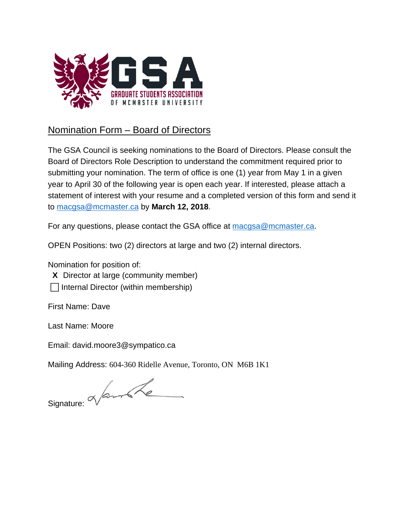

## Nomination Form – Board of Directors

The GSA Council is seeking nominations to the Board of Directors. Please consult the Board of Directors Role Description to understand the commitment required prior to submitting your nomination. The term of office is one (1) year from May 1 in a given year to April 30 of the following year is open each year. If interested, please attach a statement of interest with your resume and a completed version of this form and send it to macgsa@mcmaster.ca by **March 12, 2018**.

For any questions, please contact the GSA office at macgsa@mcmaster.ca.

OPEN Positions: two (2) directors at large and two (2) internal directors.

Nomination for position of:

X Director at large (community member)

 $\Box$  Internal Director (within membership)

First Name: Dave

Last Name: Moore

Email: david.moore3@sympatico.ca

Mailing Address: 604-360 Ridelle Avenue, Toronto, ON M6B 1K1

 $Signature: \& for the following problem, we can use the following problem. The following problem, we can use the following equation:\n
$$
\frac{1}{\sqrt{2\pi}}\int_{0}^{\sqrt{2\pi}}\sqrt{1-\frac{1}{2}\left(\frac{1}{2}\right)}\,d\mu
$$$